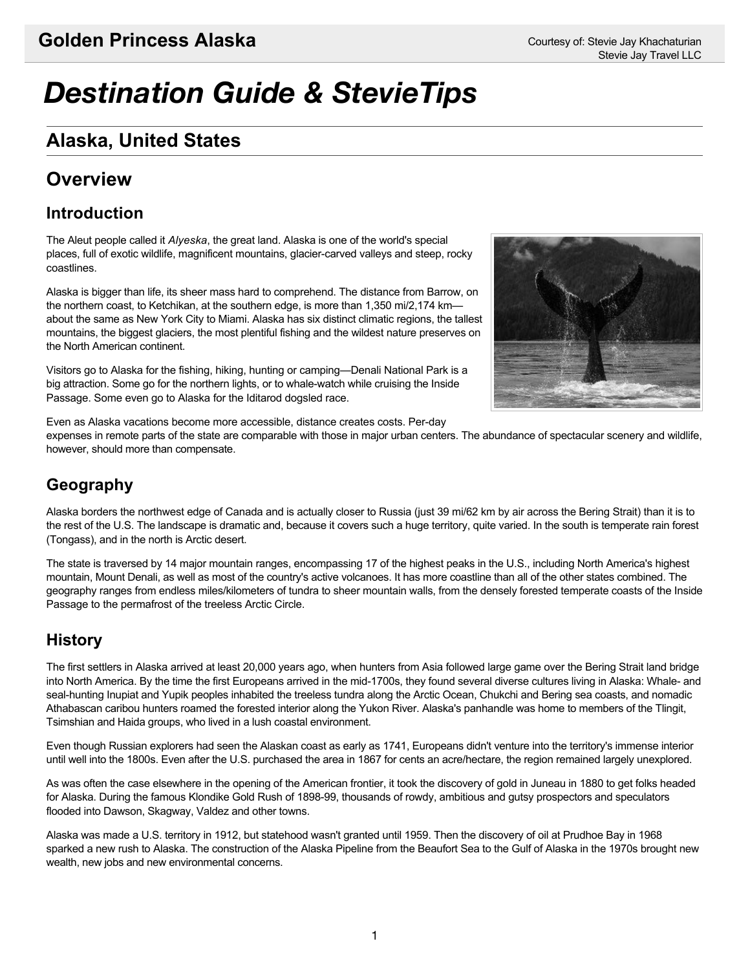# Alaska, United States *Destination Guide & StevieTips*

### **Alaska, United States Alaska, United States**

### **Overview Coverside**

#### **Introduction** The Aleut people called it *Alyeska*, the great land. Alaska is one of the world's special

The Aleut people called it *Alyeska*, the great land. Alaska is one of the world's special places, full of exotic wildlife, magnificent mountains, glacier-carved valleys and steep, rocky coastlines.  $A$ laska is bigger than life, its sheer mass hard to comprehend. The distance from Barrow, one from Barrow, one  $B$ 

Alaska is bigger than life, its sheer mass hard to comprehend. The distance from Barrow, on the northern coast, to Ketchikan, at the southern edge, is more than 1,350 mi/2,174 kmabout the same as New York City to Miami. Alaska has six distinct climatic regions, the tallest mountains, the biggest glaciers, the most plentiful fishing and the wildest nature preserves on the North American continent. Visitors go to Alaska for the fishing, hiking, hunting or camping—Denali National Park is a

Visitors go to Alaska for the fishing, hiking, hunting or camping—Denali National Park is a big attraction. Some go for the northern lights, or to whale-watch while cruising the Inside Passage. Some even go to Alaska for the Iditarod dogsled race.



Even as Alaska vacations become more accessible, distance creates costs. Per-day

expenses in remote parts of the state are comparable with those in major urban centers. The abundance of spectacular scenery and wildlife, however, should more than compensate.

#### **Geography**  $A \sim \mathcal{A}$  and is actually closer to Russia (just 39 mi/62 km by air across the Bering Strait) than it is to Russia (just 39 mi/62 km by air across the Bering Strait) than it is to to Bering Strait (just 39 mi/62 km by a

Alaska borders the northwest edge of Canada and is actually closer to Russia (just 39 mi/62 km by air across the Bering Strait) than it is to the rest of the U.S. The landscape is dramatic and, because it covers such a huge territory, quite varied. In the south is temperate rain forest (Tongass), and in the north is Arctic desert.  $T$  is traversed by 14 major mountain ranges in the  $\ell$  the highest peaks in the U.S., including North America's highest peaks in the U.S. including North America's highest peaks in the U.S. including North America's hig

The state is traversed by 14 major mountain ranges, encompassing 17 of the highest peaks in the U.S., including North America's highest mountain, Mount Denali, as well as most of the country's active volcanoes. It has more coastline than all of the other states combined. The geography ranges from endless miles/kilometers of tundra to sheer mountain walls, from the densely forested temperate coasts of the Inside Passage to the permafrost of the treeless Arctic Circle.

#### **History** The first settlers in Alaska arrived at least  $\mathcal{S}$  followed large game over the Bering Strait land bridge game over the Bering Strait land bridge game over the Bering Strait land bridge game over the Bering Strait lan

The first settlers in Alaska arrived at least 20,000 years ago, when hunters from Asia followed large game over the Bering Strait land bridge into North America. By the time the first Europeans arrived in the mid-1700s, they found several diverse cultures living in Alaska: Whale- and seal-hunting Inupiat and Yupik peoples inhabited the treeless tundra along the Arctic Ocean, Chukchi and Bering sea coasts, and nomadic Athabascan caribou hunters roamed the forested interior along the Yukon River. Alaska's panhandle was home to members of the Tlingit, Tsimshian and Haida groups, who lived in a lush coastal environment.

Even though Russian explorers had seen the Alaskan coast as early as 1741, Europeans didn't venture into the territory's immense interior until well into the 1800s. Even after the U.S. purchased the area in 1867 for cents an acre/hectare, the region remained largely unexplored.

As was often the case elsewhere in the opening of the American frontier, it took the discovery of gold in Juneau in 1880 to get folks headed for Alaska. During the famous Klondike Gold Rush of 1898-99, thousands of rowdy, ambitious and gutsy prospectors and speculators flooded into Dawson, Skagway, Valdez and other towns. Access was Europhy in 1912, but state was discovery in 1959. The discovery of oil at Prudhoe Bay in 1969. The discovery of oil at Prudhoe Bay in 1969. The discovery of oil at Prudhoe Bay in 1968. The Prudhoe Bay in 1968. T

Alaska was made a U.S. territory in 1912, but statehood wasn't granted until 1959. Then the discovery of oil at Prudhoe Bay in 1968 sparked a new rush to Alaska. The construction of the Alaska Pipeline from the Beaufort Sea to the Gulf of Alaska in the 1970s brought new wealth, new jobs and new environmental concerns.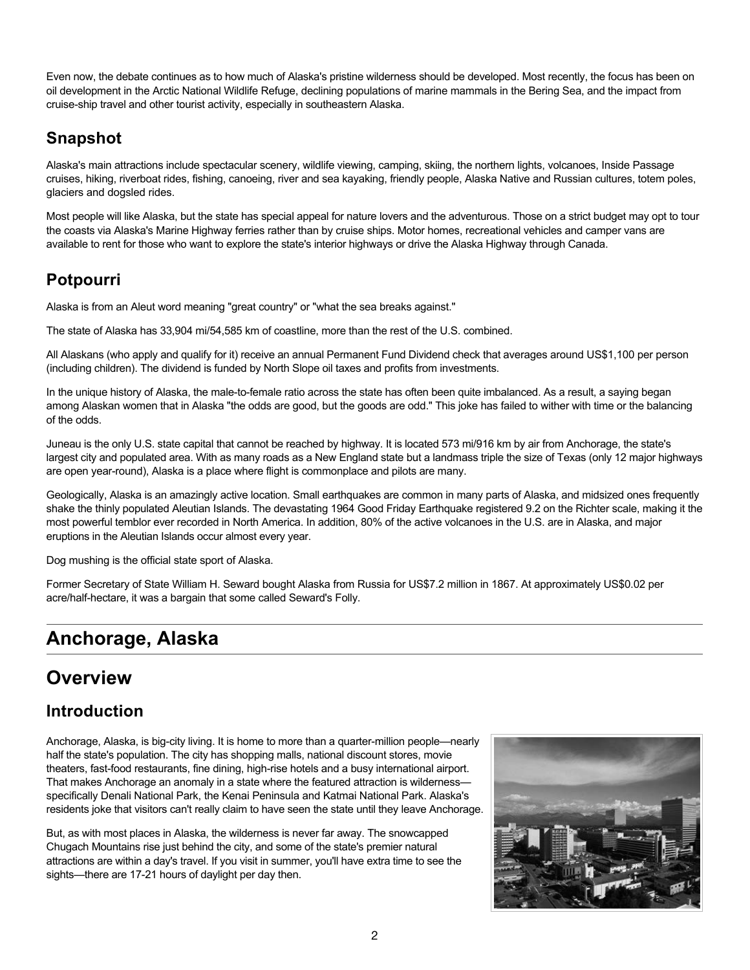Even now, the debate continues as to how much of Alaska's pristine wilderness should be developed. Most recently, the focus has been on oil development in the Arctic National Wildlife Refuge, declining populations of marine mammals in the Bering Sea, and the impact from cruise-ship travel and other tourist activity, especially in southeastern Alaska. cruise-ship travel and other tourist activity, especially in southeastern Alaska.

# **Snapshot Snapshot**

Alaska's main attractions include spectacular scenery, wildlife viewing, camping, skiing, the northern lights, volcanoes, Inside Passage cruises, hiking, riverboat rides, fishing, canoeing, river and sea kayaking, friendly people, Alaska Native and Russian cultures, totem poles, glaciers and dogsled rides. glaciers and dogsled rides.

Most people will like Alaska, but the state has special appeal for nature lovers and the adventurous. Those on a strict budget may opt to tour the coasts via Alaska's Marine Highway ferries rather than by cruise ships. Motor homes, recreational vehicles and camper vans are available to rent for those who want to explore the state's interior highways or drive the Alaska Highway through Canada.

# **Potpourri Potpourri**

Alaska is from an Aleut word meaning "great country" or "what the sea breaks against." Alaska is from an Aleut word meaning "great country" or "what the sea breaks against."

The state of Alaska has 33,904 mi/54,585 km of coastline, more than the rest of the U.S. combined. The state of Alaska has 33,904 mi/54,585 km of coastline, more than the rest of the U.S. combined.

All Alaskans (who apply and qualify for it) receive an annual Permanent Fund Dividend check that averages around US\$1,100 per person (including children). The dividend is funded by North Slope oil taxes and profits from investments. (including children). The dividend is funded by North Slope oil taxes and profits from investments.

In the unique history of Alaska, the male-to-female ratio across the state has often been quite imbalanced. As a result, a saying began among Alaskan women that in Alaska "the odds are good, but the goods are odd." This joke has failed to wither with time or the balancing of the odds. of the odds.

Juneau is the only U.S. state capital that cannot be reached by highway. It is located 573 mi/916 km by air from Anchorage, the state's largest city and populated area. With as many roads as a New England state but a landmass triple the size of Texas (only 12 major highways are open year-round), Alaska is a place where flight is commonplace and pilots are many. are open year-round), Alaska is a place where flight is commonplace and pilots are many.

Geologically, Alaska is an amazingly active location. Small earthquakes are common in many parts of Alaska, and midsized ones frequently shake the thinly populated Aleutian Islands. The devastating 1964 Good Friday Earthquake registered 9.2 on the Richter scale, making it the most powerful temblor ever recorded in North America. In addition, 80% of the active volcanoes in the U.S. are in Alaska, and major eruptions in the Aleutian Islands occur almost every year. eruptions in the Aleutian Islands occur almost every year.

Dog mushing is the official state sport of Alaska. Dog mushing is the official state sport of Alaska.

Former Secretary of State William H. Seward bought Alaska from Russia for US\$7.2 million in 1867. At approximately US\$0.02 per acre/half-hectare, it was a bargain that some called Seward's Folly. acre/half-hectare, it was a bargain that some called Seward's Folly.

# **Anchorage, Alaska Anchorage, Alaska**

### **Overview Overview Golden Princess Alaska** Courtesy of: Stevie Jay Khachaturian

# **Introduction Introduction**

Anchorage, Alaska, is big-city living. It is home to more than a quarter-million people—nearly half the state's population. The city has shopping malls, national discount stores, movie theaters, fast-food restaurants, fine dining, high-rise hotels and a busy international airport. That makes Anchorage an anomaly in a state where the featured attraction is wilderness specifically Denali National Park, the Kenai Peninsula and Katmai National Park. Alaska's residents joke that visitors can't really claim to have seen the state until they leave Anchorage.

But, as with most places in Alaska, the wilderness is never far away. The snowcapped Chugach Mountains rise just behind the city, and some of the state's premier natural attractions are within a day's travel. If you visit in summer, you'll have extra time to see the sights—there are 17-21 hours of daylight per day then.

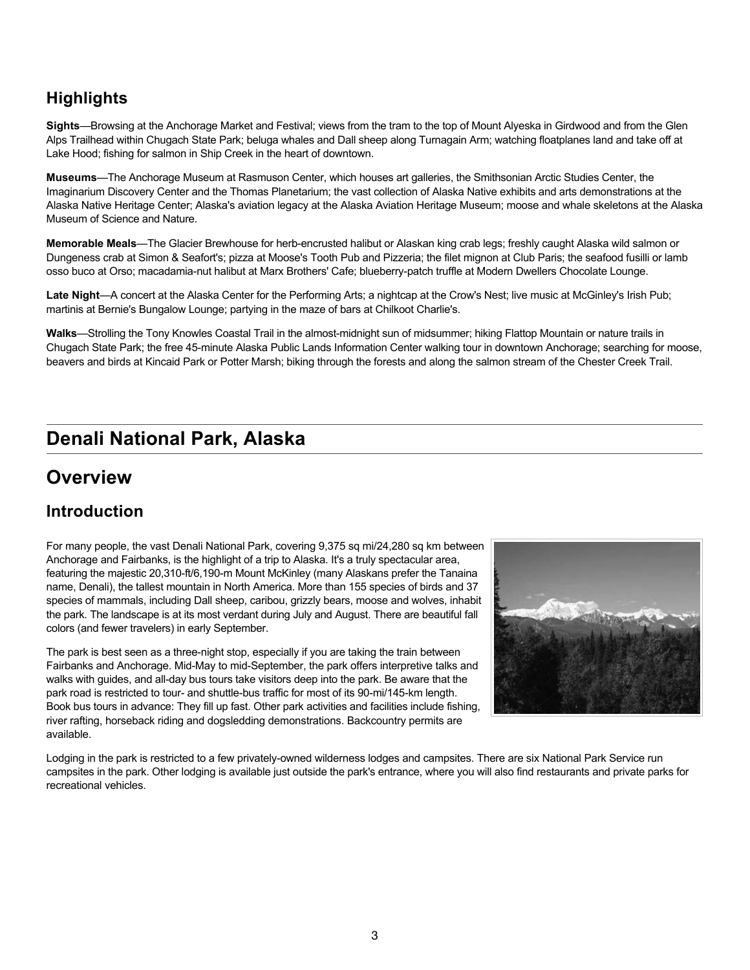#### **Highlights Highlights Sights**—Browsing at the Anchorage Market and Festival; views from the tram to the top of Mount Alyeska in Girdwood and from the Glen

Sights—Browsing at the Anchorage Market and Festival; views from the tram to the top of Mount Alyeska in Girdwood and from the Glen Alps Trailhead within Chugach State Park; beluga whales and Dall sheep along Turnagain Arm; watching floatplanes land and take off at Lake Hood; fishing for salmon in Ship Creek in the heart of downtown. **Museums**—The Anchorage Museum at Rasmuson Center, which houses art galleries, the Smithsonian Arctic Studies Center, the

Museums—The Anchorage Museum at Rasmuson Center, which houses art galleries, the Smithsonian Arctic Studies Center, the Imaginarium Discovery Center and the Thomas Planetarium; the vast collection of Alaska Native exhibits and arts demonstrations at the Alaska Native Heritage Center; Alaska's aviation legacy at the Alaska Aviation Heritage Museum; moose and whale skeletons at the Alaska Museum of Science and Nature. **Memorable Meals**—The Glacier Brewhouse for herb-encrusted halibut or Alaskan king crab legs; freshly caught Alaska wild salmon or

Memorable Meals—The Glacier Brewhouse for herb-encrusted halibut or Alaskan king crab legs; freshly caught Alaska wild salmon or Dungeness crab at Simon & Seafort's; pizza at Moose's Tooth Pub and Pizzeria; the filet mignon at Club Paris; the seafood fusilli or lamb osso buco at Orso; macadamia-nut halibut at Marx Brothers' Cafe; blueberry-patch truffle at Modern Dwellers Chocolate Lounge. **Late Night**—A concert at the Alaska Center for the Performing Arts; a nightcap at the Crow's Nest; live music at McGinley's Irish Pub;

Late Night—A concert at the Alaska Center for the Performing Arts; a nightcap at the Crow's Nest; live music at McGinley's Irish Pub; martinis at Bernie's Bungalow Lounge; partying in the maze of bars at Chilkoot Charlie's.

Walks—Strolling the Tony Knowles Coastal Trail in the almost-midnight sun of midsummer; hiking Flattop Mountain or nature trails in Chugach State Park; the free 45-minute Alaska Public Lands Information Center walking tour in downtown Anchorage; searching for moose, beavers and birds at Kincaid Park or Potter Marsh; biking through the forests and along the salmon stream of the Chester Creek Trail.<br>.

### Denali National Park, Alaska **Denali National Park, Alaska Denali National Park, Alaska**

## **Overview**

### **Introduction**

For many people, the vast Denali National Park, covering 9,375 sq mi/24,280 sq km between Anchorage and Fairbanks, is the highlight of a trip to Alaska. It's a truly spectacular area, featuring the majestic 20,310-ft/6,190-m Mount McKinley (many Alaskans prefer the Tanaina name, Denali), the tallest mountain in North America. More than 155 species of birds and 37 species of mammals, including Dall sheep, caribou, grizzly bears, moose and wolves, inhabit the park. The landscape is at its most verdant during July and August. There are beautiful fall colors (and fewer travelers) in early September.

available.<br>available. Foot Secret Content Economics And Travel Media Christ Pullin Countries and Identities models holder. The park is best seen as a three-night stop, especially if you are taking the train between Fairbanks and Anchorage. Mid-May to mid-September, the park offers interpretive talks and walks with guides, and all-day bus tours take visitors deep into the park. Be aware that the park road is restricted to tour- and shuttle-bus traffic for most of its 90-mi/145-km length. Book bus tours in advance: They fill up fast. Other park activities and facilities include fishing,



Lodging in the park is restricted to a few privately-owned wilderness lodges and campsites. There are six National Park Service run campsites in the park. Other lodging is available just outside the park's entrance, where you will also find restaurants and private parks for recreational vehicles.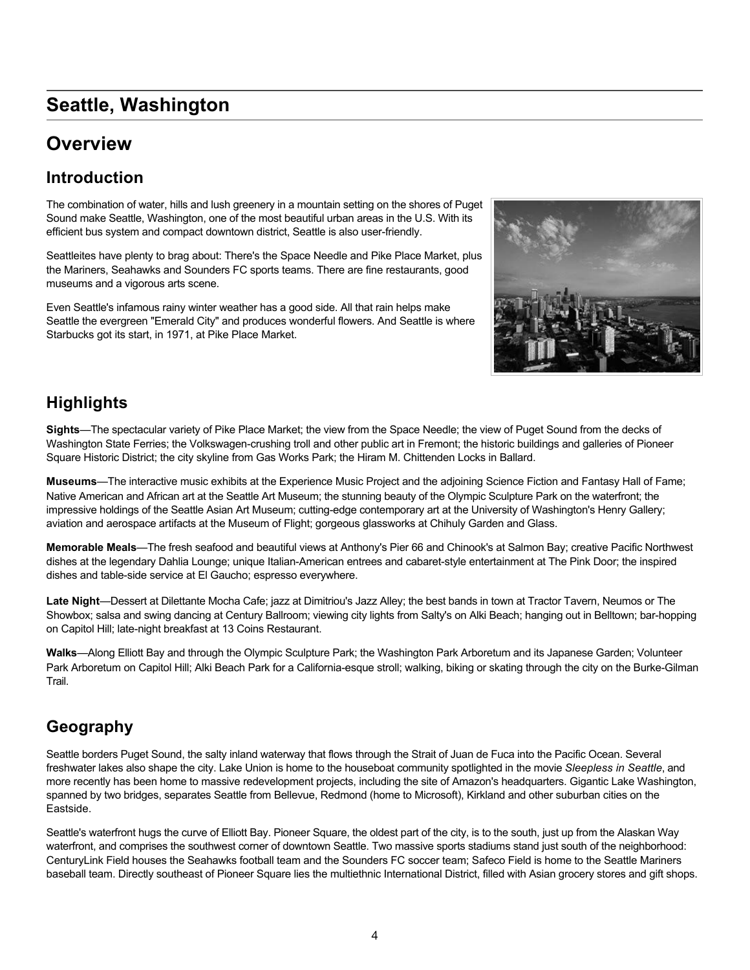# **Seattle, Washington**

# **Overview**

### **Introduction**

The combination of water, hills and lush greenery in a mountain setting on the shores of Puget Sound make Seattle, Washington, one of the most beautiful urban areas in the U.S. With its efficient bus system and compact downtown district, Seattle is also user-friendly.

Seattleites have plenty to brag about: There's the Space Needle and Pike Place Market, plus the Mariners, Seahawks and Sounders FC sports teams. There are fine restaurants, good museums and a vigorous arts scene.

Even Seattle's infamous rainy winter weather has a good side. All that rain helps make Seattle the evergreen "Emerald City" and produces wonderful flowers. And Seattle is where Starbucks got its start, in 1971, at Pike Place Market.



### **Highlights**

**Sights**—The spectacular variety of Pike Place Market; the view from the Space Needle; the view of Puget Sound from the decks of Washington State Ferries; the Volkswagen-crushing troll and other public art in Fremont; the historic buildings and galleries of Pioneer Square Historic District; the city skyline from Gas Works Park; the Hiram M. Chittenden Locks in Ballard.

**Museums**—The interactive music exhibits at the Experience Music Project and the adjoining Science Fiction and Fantasy Hall of Fame; Native American and African art at the Seattle Art Museum; the stunning beauty of the Olympic Sculpture Park on the waterfront; the impressive holdings of the Seattle Asian Art Museum; cutting-edge contemporary art at the University of Washington's Henry Gallery; aviation and aerospace artifacts at the Museum of Flight; gorgeous glassworks at Chihuly Garden and Glass.

**Memorable Meals—The fresh seafood and beautiful views at Anthony's Pier 66 and Chinook's at Salmon Bay; creative Pacific Northwest**<br>diabase at the lagandary Pablic Jay Rasy Wrights American actuage and acharat at the acto dishes at the legendary Dahlia Lounge; unique Italian-American entrees and cabaret-style entertainment at The Pink Door; the inspired dishes and table-side service at El Gaucho; espresso everywhere.

**Late Night**—Dessert at Dilettante Mocha Cafe; jazz at Dimitriou's Jazz Alley; the best bands in town at Tractor Tavern, Neumos or The Showbox; salsa and swing dancing at Century Ballroom; viewing city lights from Salty's on Alki Beach; hanging out in Belltown; bar-hopping on Capitol Hill; Iate-night breakfast at 13 Coins Restaurant.

**Walks**—Along Elliott Bay and through the Olympic Sculpture Park; the Washington Park Arboretum and its Japanese Garden; Volunteer Park Arboretum on Capitol Hill; Alki Beach Park for a California-esque stroll; walking, biking or skating through the city on the Burke-Gilman Trail. Seattle Aquarium; the highly regarded Woodland Park (especially the covered player); Carek; the fish Park (esp

#### $S_{\text{S}}$  regarded Woodland Park  $\overline{C}_{\text{S}}$ de der at the Hiram M. Chief M. Chief M. Chief M. Chief McPhee to bizarre Archie McPhee to and novel **Geography**

freshwater lakes also shape the city. Lake Union is home to the houseboat community spotlighted in the movie *Sleepless in Seattle*, and spanned by two bridges, separates Seattle from Bellevue, Redmond (home to Microsoft), Kirkland and other suburban cities on the freshwater lakes also shape the city. Lake Union is home to the houseboat community spotlighted in the movie *Sleepless in Seattle*, and Seattle borders Puget Sound, the salty inland waterway that flows through the Strait of Juan de Fuca into the Pacific Ocean. Several more recently has been home to massive redevelopment projects, including the site of Amazon's headquarters. Gigantic Lake Washington, Eastside.

more recently has been home to massive redevelopment projects, including the site of Amazon's headquarters. Gigantic Lake Washington, Seattle's waterfront hugs the curve of Elliott Bay. Pioneer Square, the oldest part of the city, is to the south, just up from the Alaskan Way waterfront, and comprises the southwest corner of downtown Seattle. Two massive sports stadiums stand just south of the neighborhood:<br>Calculation in the neighborhood: baseball team. Directly southeast of Pioneer Square lies the multiethnic International District, filled with Asian grocery stores and gift shops. CenturyLink Field houses the Seahawks football team and the Sounders FC soccer team; Safeco Field is home to the Seattle Mariners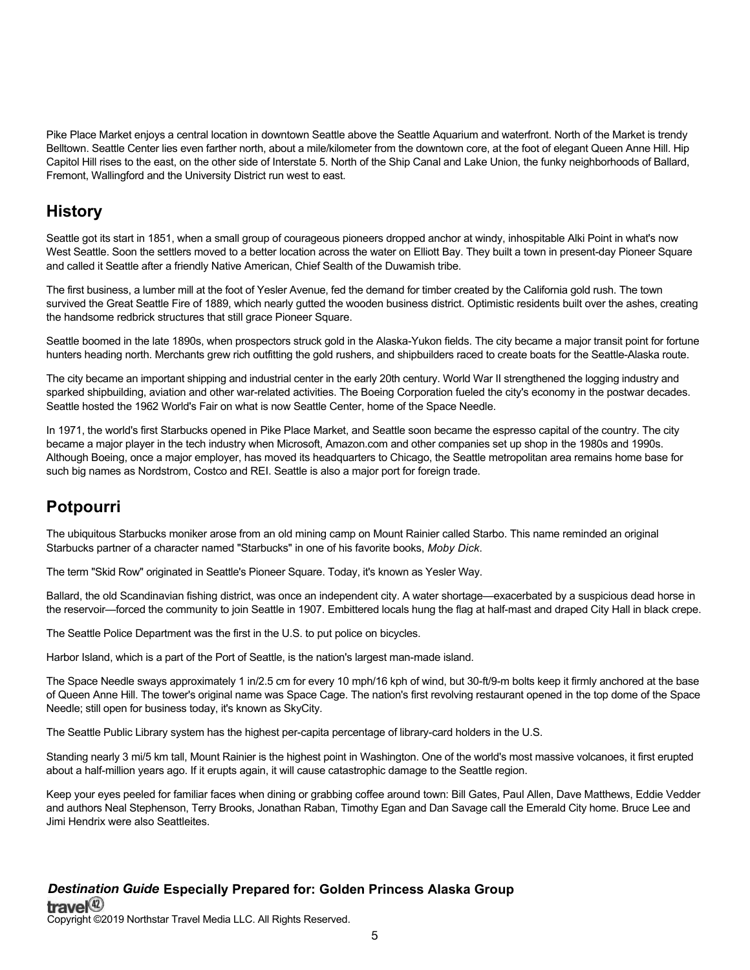Pike Place Market enjoys a central location in downtown Seattle above the Seattle Aquarium and waterfront. North of the Market is trendy Belltown. Seattle Center lies even farther north, about a mile/kilometer from the downtown core, at the foot of elegant Queen Anne Hill. Hip Capitol Hill rises to the east, on the other side of Interstate 5. North of the Ship Canal and Lake Union, the funky neighborhoods of Ballard, Fremont, Wallingford and the University District run west to east.

#### **History** The Aleut people called it *Alyeska*, the great land. Alaska is one of the world's special

Seattle got its start in 1851, when a small group of courageous pioneers dropped anchor at windy, inhospitable Alki Point in what's now West Seattle. Soon the settlers moved to a better location across the water on Elliott Bay. They built a town in present-day Pioneer Square and called it Seattle after a friendly Native American, Chief Sealth of the Duwamish tribe.

The first business, a lumber mill at the foot of Yesler Avenue, fed the demand for timber created by the California gold rush. The town survived the Great Seattle Fire of 1889, which nearly gutted the wooden business district. Optimistic residents built over the ashes, creating the handsome redbrick structures that still grace Pioneer Square.

Seattle boomed in the late 1890s, when prospectors struck gold in the Alaska-Yukon fields. The city became a major transit point for fortune hunters heading north. Merchants grew rich outfitting the gold rushers, and shipbuilders raced to create boats for the Seattle-Alaska route. big attraction. Some go for the northern lights, or to whale-watch while cruising the Inside

The city became an important shipping and industrial center in the early 20th century. World War II strengthened the logging industry and sparked shipbuilding, aviation and other war-related activities. The Boeing Corporation fueled the city's economy in the postwar decades. Seattle hosted the 1962 World's Fair on what is now Seattle Center, home of the Space Needle. expenses in remote parts of the state are comparable with those in major urban centers. The abundance of spectacular scenery and wildlife,

In 1971, the world's first Starbucks opened in Pike Place Market, and Seattle soon became the espresso capital of the country. The city became a major player in the tech industry when Microsoft, Amazon.com and other companies set up shop in the 1980s and 1990s. Although Boeing, once a major employer, has moved its headquarters to Chicago, the Seattle metropolitan area remains home base for such big names as Nordstrom, Costco and REI. Seattle is also a major port for foreign trade. **Geography**

#### **Potpourri** the rest of the landscape is dramatic and, because it covers such a huge temperate rain forest such a huge territory,  $\alpha$ (Tongass), and in the north is Arctic desert.

The ubiquitous Starbucks moniker arose from an old mining camp on Mount Rainier called Starbo. This name reminded an original<br>The ubiquitous Starbucks moniker arose from an old mining camp on Mount Rainier called Starbo. T Starbucks partner of a character named "Starbucks" in one of his favorite books, Moby Dick. ed an original mountain, Mount Denali, as well as most of the country's active volcanoes. It has more coastline than all of the other states combined. The

The term "Skid Row" originated in Seattle's Pioneer Square. Today, it's known as Yesler Way.

the reservoir—forced the community to join Seattle in 1907. Embittered locals hung the flag at half-mast and draped City Hall in black crepe. Ballard, the old Scandinavian fishing district, was once an independent city. A water shortage—exacerbated by a suspicious dead horse in

The Seattle Police Department was the first in the U.S. to put police on bicycles.

Harbor Island, which is a part of the Port of Seattle, is the nation's largest man-made island. Halbor Island, Which is a part of the Port of Seatue, is the hallon's largest man-made island.

The Space Needle sways approximately 1 in/2.5 cm for every 10 mph/16 kph of wind, but 30-ft/9-m bolts keep it firmly anchored at the base of Queen Anne Hill. The tower's original name was Space Cage. The nation's first revolving restaurant opened in the top dome of the Space In the condition of the state who live in a luminous coastal groups. The Needle; still open for business today, it's known as SkyCity.

The Seattle Public Library system has the highest per-capita percentage of library-card holders in the U.S. und boutto the 1800s. Even after the understanding the area in the area in 1867 for cents and the region remained largely unexplored.

Standing nearly 3 mi/5 km tall, Mount Rainier is the highest point in Washington. One of the world's most massive volcanoes, it first erupted about a half-million years ago. If it erupts again, it will cause catastrophic damage to the Seattle region. for Alaska. During the famous Company of the famous Company of row distributious company prospectors and guide the famous prospectors and specifical and specific and specific and specific and specific and specific and spec

Keep your eyes peeled for familiar faces when dining or grabbing coffee around town: Bill Gates, Paul Allen, Dave Matthews, Eddie Vedder and authors Neal Stephenson, Terry Brooks, Jonathan Raban, Timothy Egan and Dan Savage call the Emerald City home. Bruce Lee and and dathors from Supponson, from y Brooks, condition ridgen, milliony Egan and Ban carago can the Emorald ony homor Brace E<br>Jimi Hendrix were also Seattleites. sparked a new rush to Alaska Pipeline from the Alaska Pipeline from the Beaufort Sea to the 1970s brought new season Sea to the 1970s brought new season Sea to the 1970s brought new season Sea to the 1970s brought new seas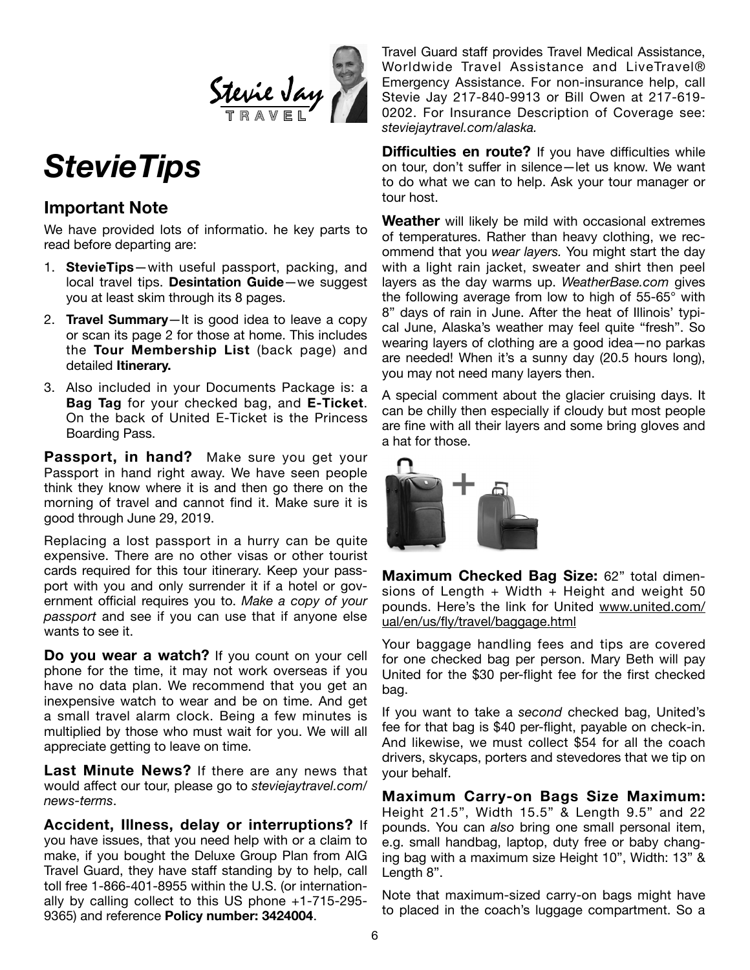

# *StevieTips*

### **Important Note**

We have provided lots of informatio. he key parts to read before departing are:

- 1. **StevieTips**—with useful passport, packing, and local travel tips. **Desintation Guide**—we suggest you at least skim through its 8 pages.
- 2. **Travel Summary**—It is good idea to leave a copy or scan its page 2 for those at home. This includes the **Tour Membership List** (back page) and detailed **Itinerary.**
- 3. Also included in your Documents Package is: a **Bag Tag** for your checked bag, and **E-Ticket**. On the back of United E-Ticket is the Princess Boarding Pass.

**Passport, in hand?** Make sure you get your Passport in hand right away. We have seen people think they know where it is and then go there on the morning of travel and cannot find it. Make sure it is good through June 29, 2019.

Replacing a lost passport in a hurry can be quite expensive. There are no other visas or other tourist cards required for this tour itinerary. Keep your passport with you and only surrender it if a hotel or government official requires you to. *Make a copy of your passport* and see if you can use that if anyone else wants to see it.

**Do you wear a watch?** If you count on your cell phone for the time, it may not work overseas if you have no data plan. We recommend that you get an inexpensive watch to wear and be on time. And get a small travel alarm clock. Being a few minutes is multiplied by those who must wait for you. We will all appreciate getting to leave on time.

**Last Minute News?** If there are any news that would affect our tour, please go to *steviejaytravel.com/ news-terms*.

**Accident, Illness, delay or interruptions?** If you have issues, that you need help with or a claim to make, if you bought the Deluxe Group Plan from AIG Travel Guard, they have staff standing by to help, call toll free 1-866-401-8955 within the U.S. (or internationally by calling collect to this US phone +1-715-295- 9365) and reference **Policy number: 3424004**.

Travel Guard staff provides Travel Medical Assistance, Worldwide Travel Assistance and LiveTravel® Emergency Assistance. For non-insurance help, call Stevie Jay 217-840-9913 or Bill Owen at 217-619- 0202. For Insurance Description of Coverage see: *steviejaytravel.com/alaska.*

**Difficulties en route?** If you have difficulties while on tour, don't suffer in silence—let us know. We want to do what we can to help. Ask your tour manager or tour host.

**Weather** will likely be mild with occasional extremes of temperatures. Rather than heavy clothing, we recommend that you *wear layers.* You might start the day with a light rain jacket, sweater and shirt then peel layers as the day warms up. *WeatherBase.com* gives the following average from low to high of 55-65° with 8" days of rain in June. After the heat of Illinois' typical June, Alaska's weather may feel quite "fresh". So wearing layers of clothing are a good idea—no parkas are needed! When it's a sunny day (20.5 hours long), you may not need many layers then.

A special comment about the glacier cruising days. It can be chilly then especially if cloudy but most people are fine with all their layers and some bring gloves and a hat for those.



**Maximum Checked Bag Size:** 62" total dimensions of Length  $+$  Width  $+$  Height and weight 50 pounds. Here's the link for United www.united.com/ ual/en/us/fly/travel/baggage.html

Your baggage handling fees and tips are covered for one checked bag per person. Mary Beth will pay United for the \$30 per-flight fee for the first checked bag.

If you want to take a *second* checked bag, United's fee for that bag is \$40 per-flight, payable on check-in. And likewise, we must collect \$54 for all the coach drivers, skycaps, porters and stevedores that we tip on your behalf.

**Maximum Carry-on Bags Size Maximum:**  Height 21.5", Width 15.5" & Length 9.5" and 22 pounds. You can *also* bring one small personal item, e.g. small handbag, laptop, duty free or baby changing bag with a maximum size Height 10", Width: 13" & Length 8".

Note that maximum-sized carry-on bags might have to placed in the coach's luggage compartment. So a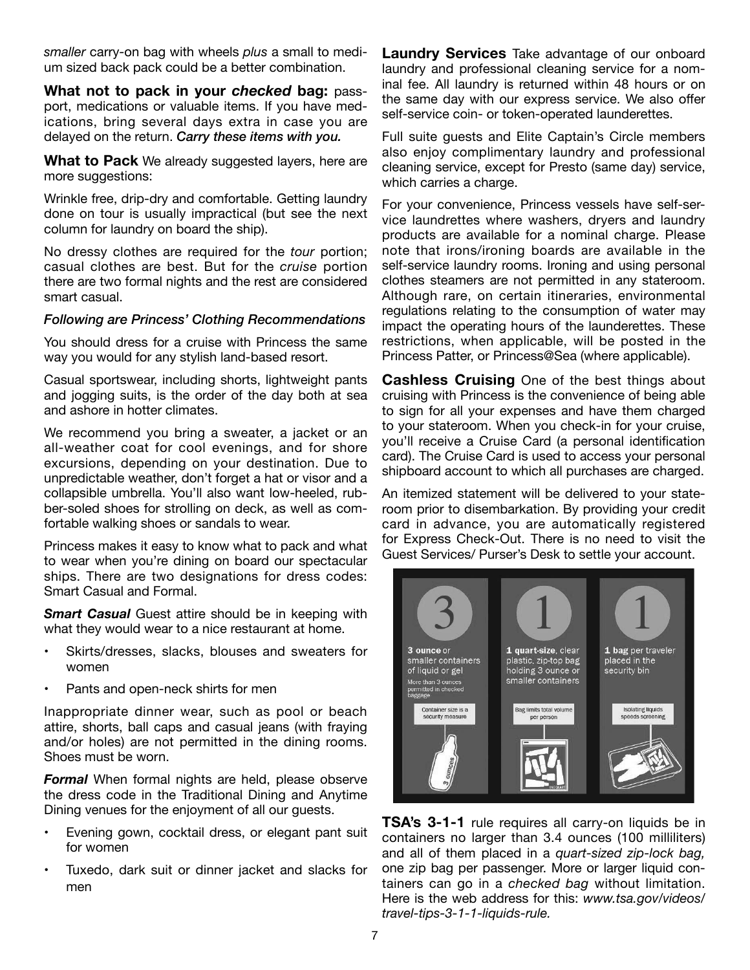*smaller* carry-on bag with wheels *plus* a small to medium sized back pack could be a better combination.

**What not to pack in your** *checked* **bag:** passport, medications or valuable items. If you have medications, bring several days extra in case you are delayed on the return. *Carry these items with you.*

**What to Pack** We already suggested layers, here are more suggestions:

Wrinkle free, drip-dry and comfortable. Getting laundry done on tour is usually impractical (but see the next column for laundry on board the ship).

No dressy clothes are required for the *tour* portion; casual clothes are best. But for the *cruise* portion there are two formal nights and the rest are considered smart casual.

#### *Following are Princess' Clothing Recommendations*

You should dress for a cruise with Princess the same way you would for any stylish land-based resort.

Casual sportswear, including shorts, lightweight pants and jogging suits, is the order of the day both at sea and ashore in hotter climates.

We recommend you bring a sweater, a jacket or an all-weather coat for cool evenings, and for shore excursions, depending on your destination. Due to unpredictable weather, don't forget a hat or visor and a collapsible umbrella. You'll also want low-heeled, rubber-soled shoes for strolling on deck, as well as comfortable walking shoes or sandals to wear.

Princess makes it easy to know what to pack and what to wear when you're dining on board our spectacular ships. There are two designations for dress codes: Smart Casual and Formal.

*Smart Casual Guest attire should be in keeping with* what they would wear to a nice restaurant at home.

- • Skirts/dresses, slacks, blouses and sweaters for women
- Pants and open-neck shirts for men

Inappropriate dinner wear, such as pool or beach attire, shorts, ball caps and casual jeans (with fraying and/or holes) are not permitted in the dining rooms. Shoes must be worn.

**Formal** When formal nights are held, please observe the dress code in the Traditional Dining and Anytime Dining venues for the enjoyment of all our guests.

- • Evening gown, cocktail dress, or elegant pant suit for women
- Tuxedo, dark suit or dinner jacket and slacks for men

**Laundry Services** Take advantage of our onboard laundry and professional cleaning service for a nominal fee. All laundry is returned within 48 hours or on the same day with our express service. We also offer self-service coin- or token-operated launderettes.

Full suite guests and Elite Captain's Circle members also enjoy complimentary laundry and professional cleaning service, except for Presto (same day) service, which carries a charge.

For your convenience, Princess vessels have self-service laundrettes where washers, dryers and laundry products are available for a nominal charge. Please note that irons/ironing boards are available in the self-service laundry rooms. Ironing and using personal clothes steamers are not permitted in any stateroom. Although rare, on certain itineraries, environmental regulations relating to the consumption of water may impact the operating hours of the launderettes. These restrictions, when applicable, will be posted in the Princess Patter, or Princess@Sea (where applicable).

**Cashless Cruising** One of the best things about cruising with Princess is the convenience of being able to sign for all your expenses and have them charged to your stateroom. When you check-in for your cruise, you'll receive a Cruise Card (a personal identification card). The Cruise Card is used to access your personal shipboard account to which all purchases are charged.

An itemized statement will be delivered to your stateroom prior to disembarkation. By providing your credit card in advance, you are automatically registered for Express Check-Out. There is no need to visit the Guest Services/ Purser's Desk to settle your account.



**TSA's 3-1-1** rule requires all carry-on liquids be in containers no larger than 3.4 ounces (100 milliliters) and all of them placed in a *quart-sized zip-lock bag,* one zip bag per passenger. More or larger liquid containers can go in a *checked bag* without limitation. Here is the web address for this: *www.tsa.gov/videos/ travel-tips-3-1-1-liquids-rule.*